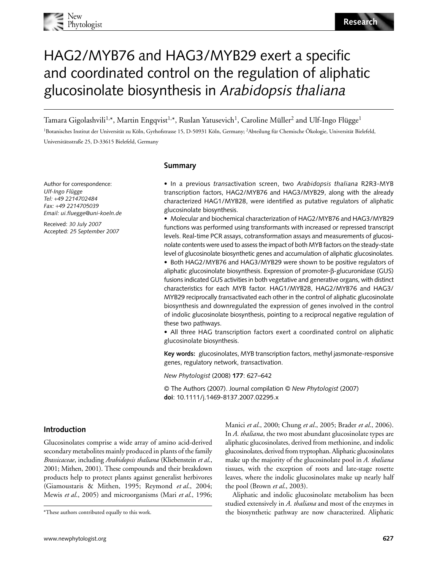

# HAG2/MYB76 and HAG3/MYB29 exert a specific and coordinated control on the regulation of aliphatic glucosinolate biosynthesis in *Arabidopsis thaliana*

Tamara Gigolashvili<sup>1,</sup>\*, Martin Engqvist<sup>1,</sup>\*, Ruslan Yatusevich<sup>1</sup>, Caroline Müller<sup>2</sup> and Ulf-Ingo Flügge<sup>1</sup>

1Botanisches Institut der Universität zu Köln, Gyrhofstrasse 15, D-50931 Köln, Germany; 2Abteilung für Chemische Ökologie, Universität Bielefeld, Universitätsstraße 25, D-33615 Bielefeld, Germany

## **Summary**

Author for correspondence: *Ulf-Ingo Flügge Tel:* +*49 2214702484 Fax:* +*49 2214705039 Email: ui.fluegge@uni-koeln.de*

Received: *30 July 2007* Accepted: *25 September 2007*

• In a previous *trans*activation screen, two *Arabidopsis thaliana* R2R3-MYB transcription factors, HAG2/MYB76 and HAG3/MYB29, along with the already characterized HAG1/MYB28, were identified as putative regulators of aliphatic glucosinolate biosynthesis.

• Molecular and biochemical characterization of HAG2/MYB76 and HAG3/MYB29 functions was performed using transformants with increased or repressed transcript levels. Real-time PCR assays, cotransformation assays and measurements of glucosinolate contents were used to assess the impact of both MYB factors on the steady-state level of glucosinolate biosynthetic genes and accumulation of aliphatic glucosinolates.

• Both HAG2/MYB76 and HAG3/MYB29 were shown to be positive regulators of aliphatic glucosinolate biosynthesis. Expression of promoter-β-glucuronidase (GUS) fusions indicated GUS activities in both vegetative and generative organs, with distinct characteristics for each MYB factor. HAG1/MYB28, HAG2/MYB76 and HAG3/ MYB29 reciprocally *trans*activated each other in the control of aliphatic glucosinolate biosynthesis and downregulated the expression of genes involved in the control of indolic glucosinolate biosynthesis, pointing to a reciprocal negative regulation of these two pathways.

• All three HAG transcription factors exert a coordinated control on aliphatic glucosinolate biosynthesis.

**Key words:** glucosinolates, MYB transcription factors, methyl jasmonate-responsive genes, regulatory network, *trans*activation.

*New Phytologist* (2008) **177**: 627–642

© The Authors (2007). Journal compilation © *New Phytologist* (2007) **doi**: 10.1111/j.1469-8137.2007.02295.x

#### **Introduction**

Glucosinolates comprise a wide array of amino acid-derived secondary metabolites mainly produced in plants of the family *Brassicaceae*, including *Arabidopsis thaliana* (Kliebenstein *et al*., 2001; Mithen, 2001). These compounds and their breakdown products help to protect plants against generalist herbivores (Giamoustaris & Mithen, 1995; Reymond *et al*., 2004; Mewis *et al*., 2005) and microorganisms (Mari *et al*., 1996; Manici *et al*., 2000; Chung *et al*., 2005; Brader *et al*., 2006). In *A. thaliana*, the two most abundant glucosinolate types are aliphatic glucosinolates, derived from methionine, and indolic glucosinolates, derived from tryptophan. Aliphatic glucosinolates make up the majority of the glucosinolate pool in *A. thaliana* tissues, with the exception of roots and late-stage rosette leaves, where the indolic glucosinolates make up nearly half the pool (Brown *et al*., 2003).

Aliphatic and indolic glucosinolate metabolism has been studied extensively in *A. thaliana* and most of the enzymes in \*These authors contributed equally to this work. the biosynthetic pathway are now characterized. Aliphatic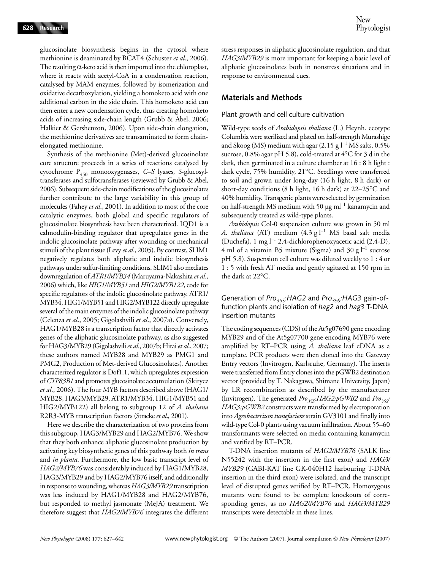New Phytologist

glucosinolate biosynthesis begins in the cytosol where methionine is deaminated by BCAT4 (Schuster *et al*., 2006). The resulting  $\alpha$ -keto acid is then imported into the chloroplast, where it reacts with acetyl-CoA in a condensation reaction, catalysed by MAM enzymes, followed by isomerization and oxidative decarboxylation, yielding a homoketo acid with one additional carbon in the side chain. This homoketo acid can then enter a new condensation cycle, thus creating homoketo acids of increasing side-chain length (Grubb & Abel, 2006; Halkier & Gershenzon, 2006). Upon side-chain elongation, the methionine derivatives are transaminated to form chainelongated methionine.

Synthesis of the methionine (Met)-derived glucosinolate core structure proceeds in a series of reactions catalysed by cytochrome P450 monooxygenases, *C–S* lyases, *S*-glucosyltransferases and sulfotransferases (reviewed by Grubb & Abel, 2006). Subsequent side-chain modifications of the glucosinolates further contribute to the large variability in this group of molecules (Fahey *et al*., 2001). In addition to most of the core catalytic enzymes, both global and specific regulators of glucosinolate biosynthesis have been characterized. IQD1 is a calmodulin-binding regulator that upregulates genes in the indolic glucosinolate pathway after wounding or mechanical stimuli of the plant tissue (Levy *et al*., 2005). By contrast, SLIM1 negatively regulates both aliphatic and indolic biosynthesis pathways under sulfur-limiting conditions. SLIM1 also mediates downregulation of *ATR1/MYB34* (Maruyama-Nakashita *et al*., 2006) which, like *HIG1/MYB51* and *HIG2/MYB122*, code for specific regulators of the indolic glucosinolate pathway. ATR1/ MYB34, HIG1/MYB51 and HIG2/MYB122 directly upregulate several of the main enzymes of the indolic glucosinolate pathway (Celenza *et al*., 2005; Gigolashvili *et al*., 2007a). Conversely, HAG1/MYB28 is a transcription factor that directly activates genes of the aliphatic glucosinolate pathway, as also suggested for HAG3/MYB29 (Gigolashvili *et al*., 2007b; Hirai *et al*., 2007; these authors named MYB28 and MYB29 as PMG1 and PMG2, Production of Met-derived Glucosinolates). Another characterized regulator is Dof1.1, which upregulates expression of *CYP83B1* and promotes glucosinolate accumulation (Skirycz *et al*., 2006). The four MYB factors described above (HAG1/ MYB28, HAG3/MYB29, ATR1/MYB34, HIG1/MYB51 and HIG2/MYB122) all belong to subgroup 12 of *A. thaliana* R2R3-MYB transcription factors (Stracke *et al*., 2001).

Here we describe the characterization of two proteins from this subgroup, HAG3/MYB29 and HAG2/MYB76. We show that they both enhance aliphatic glucosinolate production by activating key biosynthetic genes of this pathway both *in trans* and *in planta*. Furthermore, the low basic transcript level of *HAG2/MYB76* was considerably induced by HAG1/MYB28, HAG3/MYB29 and by HAG2/MYB76 itself, and additionally in response to wounding, whereas *HAG3/MYB29* transcription was less induced by HAG1/MYB28 and HAG2/MYB76, but responded to methyl jasmonate (MeJA) treatment. We therefore suggest that *HAG2/MYB76* integrates the different

stress responses in aliphatic glucosinolate regulation, and that *HAG3/MYB29* is more important for keeping a basic level of aliphatic glucosinolates both in nonstress situations and in response to environmental cues.

## **Materials and Methods**

#### Plant growth and cell culture cultivation

Wild-type seeds of *Arabidopsis thaliana* (L.) Heynh. ecotype Columbia were sterilized and plated on half-strength Murashige and Skoog (MS) medium with agar (2.15 g  $l^{-1}$  MS salts, 0.5% sucrose, 0.8% agar pH 5.8), cold-treated at 4°C for 3 d in the dark, then germinated in a culture chamber at 16 : 8 h light : dark cycle, 75% humidity, 21°C. Seedlings were transferred to soil and grown under long-day (16 h light, 8 h dark) or short-day conditions (8 h light, 16 h dark) at 22–25°C and 40% humidity. Transgenic plants were selected by germination on half-strength MS medium with 50  $\mu$ g ml<sup>-1</sup> kanamycin and subsequently treated as wild-type plants.

*Arabidopsis* Col-0 suspension culture was grown in 50 ml A. thaliana (AT) medium (4.3 g l<sup>-1</sup> MS basal salt media (Duchefa), 1 mg l–1 2,4-dichlorophenoxyacetic acid (2,4-D), 4 ml of a vitamin B5 mixture (Sigma) and 30 g  $l^{-1}$  sucrose pH 5.8). Suspension cell culture was diluted weekly to 1 : 4 or 1 : 5 with fresh AT media and gently agitated at 150 rpm in the dark at 22°C.

## Generation of *Pro<sub>35S</sub>:HAG2* and *Pro<sub>35S</sub>:HAG3* gain-offunction plants and isolation of *hag2* and *hag3* T-DNA insertion mutants

The coding sequences (CDS) of the At5g07690 gene encoding MYB29 and of the At5g07700 gene encoding MYB76 were amplified by RT–PCR using *A. thaliana* leaf cDNA as a template. PCR products were then cloned into the Gateway Entry vectors (Invitrogen, Karlsruhe, Germany). The inserts were transferred from Entry clones into the pGWB2 destination vector (provided by T. Nakagawa, Shimane University, Japan) by LR recombination as described by the manufacturer (Invitrogen). The generated *Pro<sub>35S</sub>*: *HAG2:pGWB2* and *Pro<sub>35S</sub>*: *HAG3:pGWB2* constructs were transformed by electroporation into *Agrobacterium tumefaciens* strain GV3101 and finally into wild-type Col-0 plants using vacuum infiltration. About 55–60 transformants were selected on media containing kanamycin and verified by RT–PCR.

T-DNA insertion mutants of *HAG2/MYB76* (SALK line N55242 with the insertion in the first exon) and *HAG3/ MYB29* (GABI-KAT line GK-040H12 harbouring T-DNA insertion in the third exon) were isolated, and the transcript level of disrupted genes verified by RT–PCR. Homozygous mutants were found to be complete knockouts of corresponding genes, as no *HAG2/MYB76* and *HAG3/MYB29* transcripts were detectable in these lines.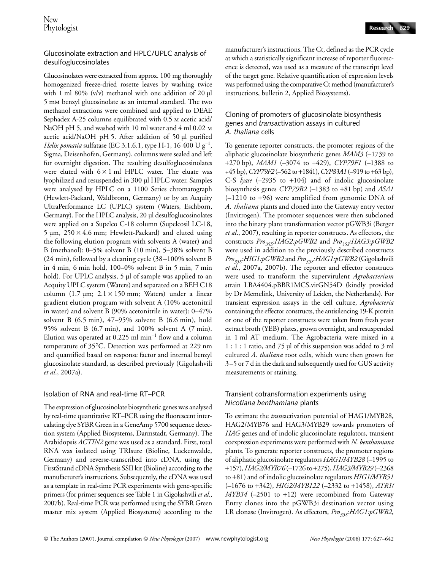# Glucosinolate extraction and HPLC/UPLC analysis of desulfoglucosinolates

Glucosinolates were extracted from approx. 100 mg thoroughly homogenized freeze-dried rosette leaves by washing twice with 1 ml 80% (v/v) methanol with one addition of 20  $\mu$ l 5 mm benzyl glucosinolate as an internal standard. The two methanol extractions were combined and applied to DEAE Sephadex A-25 columns equilibrated with 0.5 m acetic acid/ NaOH pH 5, and washed with 10 ml water and 4 ml 0.02 m acetic acid/NaOH pH 5. After addition of 50 µl purified *Helix pomatia* sulfatase (EC 3.1.6.1, type H-1, 16 400 U  $g^{-1}$ , Sigma, Deisenhofen, Germany), columns were sealed and left for overnight digestion. The resulting desulfoglucosinolates were eluted with  $6 \times 1$  ml HPLC water. The eluate was lyophilized and resuspended in 300 µl HPLC water. Samples were analysed by HPLC on a 1100 Series chromatograph (Hewlett-Packard, Waldbronn, Germany) or by an Acquity UltraPerformance LC (UPLC) system (Waters, Eschborn, Germany). For the HPLC analysis, 20 µl desulfoglucosinolates were applied on a Supelco C-18 column (Supelcosil LC-18,  $5 \mu m$ ,  $250 \times 4.6 \text{ mm}$ ; Hewlett-Packard) and eluted using the following elution program with solvents A (water) and B (methanol): 0–5% solvent B (10 min), 5–38% solvent B (24 min), followed by a cleaning cycle (38–100% solvent B in 4 min, 6 min hold, 100–0% solvent B in 5 min, 7 min hold). For UPLC analysis, 5 µl of sample was applied to an Acquity UPLC system (Waters) and separated on a BEH C18 column (1.7  $\mu$ m; 2.1 × 150 mm; Waters) under a linear gradient elution program with solvent A (10% acetonitril in water) and solvent B (90% acetonitrile in water): 0–47% solvent B (6.5 min), 47–95% solvent B (6.6 min), hold 95% solvent B (6.7 min), and 100% solvent A (7 min). Elution was operated at  $0.225$  ml min<sup>-1</sup> flow and a column temperature of 35°C. Detection was performed at 229 nm and quantified based on response factor and internal benzyl glucosinolate standard, as described previously (Gigolashvili *et al*., 2007a).

# Isolation of RNA and real-time RT–PCR

The expression of glucosinolate biosynthetic genes was analysed by real-time quantitative RT–PCR using the fluorescent intercalating dye SYBR Green in a GeneAmp 5700 sequence detection system (Applied Biosystems, Darmstadt, Germany). The Arabidopsis *ACTIN2* gene was used as a standard. First, total RNA was isolated using TRIsure (Bioline, Luckenwalde, Germany) and reverse-transcribed into cDNA, using the FirstStrand cDNA Synthesis SSII kit (Bioline) according to the manufacturer's instructions. Subsequently, the cDNA was used as a template in real-time PCR experiments with gene-specific primers (for primer sequences see Table 1 in Gigolashvili *et al*., 2007b). Real-time PCR was performed using the SYBR Green master mix system (Applied Biosystems) according to the manufacturer's instructions. The Ct, defined as the PCR cycle at which a statistically significant increase of reporter fluorescence is detected, was used as a measure of the transcript level of the target gene. Relative quantification of expression levels was performed using the comparative Ct method (manufacturer's instructions, bulletin 2, Applied Biosystems).

## Cloning of promoters of glucosinolate biosynthesis genes and *trans*activation assays in cultured *A. thaliana* cells

To generate reporter constructs, the promoter regions of the aliphatic glucosinolate biosynthetic genes *MAM3* (–1739 to +270 bp), *MAM1* (*–*3074 to +429), *CYP79F1* (*–*1388 to +45 bp), *CYP79F2* (*–*562 to +1841), *CYP83A1* (*–*919 to +63 bp), C-S *lyase* (–2935 to +104) and of indolic glucosinolate biosynthesis genes *CYP79B2* (*–*1383 to +81 bp) and *ASA1* (–1210 to +96) were amplified from genomic DNA of *A. thaliana* plants and cloned into the Gateway entry vector (Invitrogen). The promoter sequences were then subcloned into the binary plant transformation vector pGWB3i (Berger *et al*., 2007), resulting in reporter constructs. As effectors, the constructs *Pro<sub>35S</sub>:HAG2:pGWB2* and *Pro<sub>35S</sub>:HAG3:pGWB2* were used in addition to the previously described constructs *Pro35S:HIG1:pGWB2* and *Pro35S:HAG1:pGWB2* (Gigolashvili *et al*., 2007a, 2007b). The reporter and effector constructs were used to transform the supervirulent *Agrobacterium* strain LBA4404.pBBR1MCS.virGN54D (kindly provided by Dr Memelink, University of Leiden, the Netherlands). For transient expression assays in the cell culture, *Agrobacteria* containing the effector constructs, the antisilencing 19-K protein or one of the reporter constructs were taken from fresh yeast extract broth (YEB) plates, grown overnight, and resuspended in 1 ml AT medium. The Agrobacteria were mixed in a 1 : 1 : 1 ratio, and 75 µl of this suspension was added to 3 ml cultured *A. thaliana* root cells, which were then grown for 3–5 or 7 d in the dark and subsequently used for GUS activity measurements or staining.

# Transient cotransformation experiments using *Nicotiana benthamiana* plants

To estimate the *trans*activation potential of HAG1/MYB28, HAG2/MYB76 and HAG3/MYB29 towards promoters of *HAG* genes and of indolic glucosinolate regulators, transient coexpression experiments were performed with *N. benthamiana* plants. To generate reporter constructs, the promoter regions of aliphatic glucosinolate regulators *HAG1/MYB28* (*–*1995 to +157), *HAG2/MYB76* (*–*1726 to +275), *HAG3/MYB29* (*–*2368 to +81) and of indolic glucosinolate regulators *HIG1/MYB51* (*–*1676 to +342), *HIG2/MYB122* (*–*2332 to +1458), *ATR1/ MYB34* (*–*2501 to +12) were recombined from Gateway Entry clones into the pGWB3i destination vector using LR clonase (Invitrogen). As effectors, *Pro<sub>35S</sub>:HAG1:pGWB2*,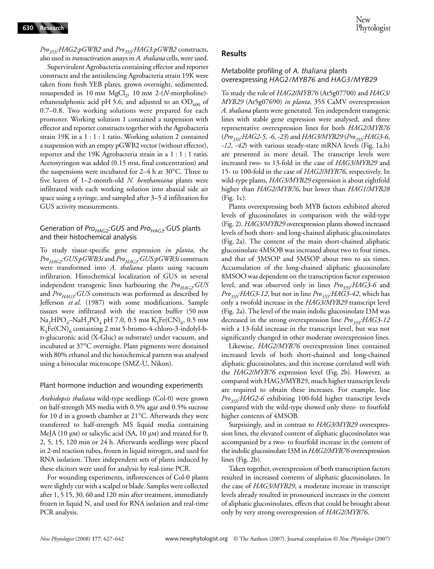#### *Pro<sub>35S</sub>:HAG2:pGWB2* and *Pro<sub>35S</sub>:HAG3:pGWB2* constructs, also used in *trans*activation assays in *A. thaliana* cells, were used.

Supervirulent Agrobacteria containing effector and reporter constructs and the antisilencing Agrobacteria strain 19K were taken from fresh YEB plates, grown overnight, sedimented, resuspended in 10 mm  $MgCl<sub>2</sub>$ , 10 mm 2-(*N*-morpholine)ethanesulphonic acid pH 5.6, and adjusted to an  $OD_{600}$  of 0.7–0.8. Two working solutions were prepared for each promoter. Working solution 1 contained a suspension with effector and reporter constructs together with the Agrobacteria strain 19K in a 1 : 1 : 1 ratio. Working solution 2 contained a suspension with an empty pGWB2 vector (without effector), reporter and the 19K Agrobacteria strain in a 1 : 1 : 1 ratio. Acetosyringon was added (0.15 mm, final concentration) and the suspensions were incubated for 2–4 h at 30°C. Three to five leaves of 1–2-month-old *N. benthamiana* plants were infiltrated with each working solution into abaxial side air space using a syringe, and sampled after 3–5 d infiltration for GUS activity measurements.

# Generation of *Pro<sub>HAG2</sub>:GUS* and *Pro<sub>HAG3</sub>:GUS* plants and their histochemical analysis

To study tissue-specific gene expression *in planta*, the *ProHAG2:GUS:pGWB3i* and *ProHAG3:GUS:pGWB3i* constructs were transformed into *A. thaliana* plants using vacuum infiltration. Histochemical localization of GUS in several independent transgenic lines harbouring the *Pro<sub>HAG2</sub>:GUS* and *Pro<sub>HAG3</sub>:GUS* constructs was performed as described by Jefferson *et al*. (1987) with some modifications. Sample tissues were infiltrated with the reaction buffer (50 mm  $\text{Na}_2\text{HPO}_4-\text{NaH}_2\text{PO}_4$  pH 7.0, 0.5 mm  $\text{K}_3\text{Fe(CN)}_6$ , 0.5 mm  $K_4Fe(CN)_6$  containing 2 mm 5-bromo-4-chloro-3-indolyl-bd-glucuronic acid (X-Gluc) as substrate) under vacuum, and incubated at 37°C overnight. Plant pigments were destained with 80% ethanol and the histochemical pattern was analysed using a binocular microscope (SMZ-U, Nikon).

#### Plant hormone induction and wounding experiments

*Arabidopsis thaliana* wild-type seedlings (Col-0) were grown on half-strength MS media with 0.5% agar and 0.5% sucrose for 10 d in a growth chamber at 21°C. Afterwards they were transferred to half-strength MS liquid media containing MeJA (10  $\mu$ m) or salicylic acid (SA, 10  $\mu$ m) and treated for 0, 2, 5, 15, 120 min or 24 h. Afterwards seedlings were placed in 2-ml reaction tubes, frozen in liquid nitrogen, and used for RNA isolation. Three independent sets of plants induced by these elicitors were used for analysis by real-time PCR.

For wounding experiments, inflorescences of Col-0 plants were slightly cut with a scalpel or blade. Samples were collected after 1, 5 15, 30, 60 and 120 min after treatment, immediately frozen in liquid N, and used for RNA isolation and real-time PCR analysis.

# **Results**

# Metabolite profiling of *A. thaliana* plants overexpressing *HAG2/MYB76* and *HAG3/MYB29*

To study the role of *HAG2/MYB76* (At5g07700) and *HAG3/ MYB29* (At5g07690) *in planta*, 35S CaMV overexpression *A. thaliana* plants were generated. Ten independent transgenic lines with stable gene expression were analysed, and three representative overexpression lines for both *HAG2/MYB76* (*Pro35S:HAG2-5*, *-6*, *-23*) and *HAG3/MYB29* (*Pro35S:HAG3-6*, *-12*, *-42*) with various steady-state mRNA levels (Fig. 1a,b) are presented in more detail. The transcript levels were increased two- to 13-fold in the case of *HAG3/MYB29* and 15- to 100-fold in the case of *HAG2/MYB76*, respectively. In wild-type plants, *HAG3/MYB29* expression is about eightfold higher than *HAG2/MYB76*, but lower than *HAG1/MYB28* (Fig. 1c).

Plants overexpressing both MYB factors exhibited altered levels of glucosinolates in comparison with the wild-type (Fig. 2). *HAG3/MYB29* overexpression plants showed increased levels of both short- and long-chained aliphatic glucosinolates (Fig. 2a). The content of the main short-chained aliphatic glucosinolate 4MSOB was increased about two to four times, and that of 3MSOP and 5MSOP about two to six times. Accumulation of the long-chained aliphatic glucosinolate 8MSOO was dependent on the transcription factor expression level, and was observed only in lines *Pro<sub>35S</sub>:HAG3-6* and *Pro35S:HAG3-12*, but not in line *Pro35S:HAG3-42*, which has only a twofold increase in the *HAG3/MYB29* transcript level (Fig. 2a). The level of the main indolic glucosinolate I3M was decreased in the strong overexpression line *Pro<sub>35S</sub>:HAG3-12* with a 13-fold increase in the transcript level, but was not significantly changed in other moderate overexpression lines.

Likewise, *HAG2/MYB76* overexpression lines contained increased levels of both short-chained and long-chained aliphatic glucosinolates, and this increase correlated well with the *HAG2/MYB76* expression level (Fig. 2b). However, as compared with HAG3/MYB29, much higher transcript levels are required to obtain these increases. For example, line *Pro35S:HAG2-6* exhibiting 100-fold higher transcript levels compared with the wild-type showed only three- to fourfold higher contents of 4MSOB.

Surprisingly, and in contrast to *HAG3/MYB29* overexpression lines, the elevated content of aliphatic glucosinolates was accompanied by a two- to fourfold increase in the content of the indolic glucosinolate I3M in *HAG2/MYB76* overexpression lines (Fig. 2b).

Taken together, overexpression of both transcription factors resulted in increased contents of aliphatic glucosinolates. In the case of *HAG3/MYB29*, a moderate increase in transcript levels already resulted in pronounced increases in the content of aliphatic glucosinolates, effects that could be brought about only by very strong overexpression of *HAG2/MYB76*.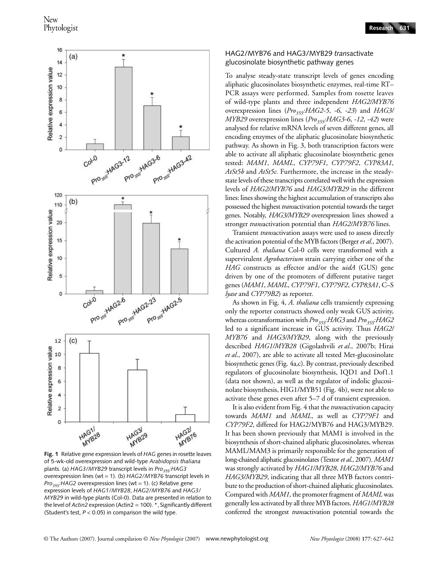

**Fig. 1** Relative gene expression levels of *HAG* genes in rosette leaves of 5-wk-old overexpression and wild-type *Arabidopsis thaliana* plants. (a) *HAG3/MYB29* transcript levels in *Pro<sub>35S</sub>:HAG3* overexpression lines (wt = 1). (b) *HAG2/MYB76* transcript levels in *Pro<sub>35S</sub>:HAG2* overexpression lines (wt = 1). (c) Relative gene expression levels of *HAG1/MYB28*, *HAG2/MYB76* and *HAG3/ MYB29* in wild-type plants (Col-0). Data are presented in relation to the level of *Actin2* expression (Actin2 = 100). \*, Significantly different (Student's test,  $P < 0.05$ ) in comparison the wild type

#### HAG2/MYB76 and HAG3/MYB29 *trans*activate glucosinolate biosynthetic pathway genes

To analyse steady-state transcript levels of genes encoding aliphatic glucosinolates biosynthetic enzymes, real-time RT– PCR assays were performed. Samples from rosette leaves of wild-type plants and three independent *HAG2/MYB76* overexpression lines (*Pro35S:HAG2-5*, *-6*, *-23*) and *HAG3/ MYB29* overexpression lines (*Pro<sub>35S</sub>:HAG3-6*, *-12*, *-42*) were analysed for relative mRNA levels of seven different genes, all encoding enzymes of the aliphatic glucosinolate biosynthetic pathway. As shown in Fig. 3, both transcription factors were able to activate all aliphatic glucosinolate biosynthetic genes tested: *MAM1*, *MAML*, *CYP79F1*, *CYP79F2*, *CYP83A1*, *AtSt5b* and *AtSt5c.* Furthermore, the increase in the steadystate levels of these transcripts correlated well with the expression levels of *HAG2/MYB76* and *HAG3/MYB29* in the different lines: lines showing the highest accumulation of transcripts also possessed the highest *trans*activation potential towards the target genes. Notably, *HAG3/MYB29* overexpression lines showed a stronger *trans*activation potential than *HAG2/MYB76* lines.

Transient *trans*activation assays were used to assess directly the activation potential of the MYB factors (Berger *et al*., 2007). Cultured *A. thaliana* Col-0 cells were transformed with a supervirulent *Agrobacterium* strain carrying either one of the *HAG* constructs as effector and/or the *uidA* (GUS) gene driven by one of the promoters of different putative target genes (*MAM1*, *MAML*, *CYP79F1*, *CYP79F2*, *CYP83A1*, C–S *lyase* and *CYP79B2*) as reporter.

As shown in Fig. 4, *A*. *thaliana* cells transiently expressing only the reporter constructs showed only weak GUS activity, whereas cotransformation with *Pro<sub>35S</sub>:HAG3* and *Pro<sub>35S</sub>:HAG2* led to a significant increase in GUS activity. Thus *HAG2/ MYB76* and *HAG3/MYB29*, along with the previously described *HAG1/MYB28* (Gigolashvili *et al*., 2007b; Hirai *et al*., 2007), are able to activate all tested Met-glucosinolate biosynthetic genes (Fig. 4a,c). By contrast, previously described regulators of glucosinolate biosynthesis, IQD1 and Dof1.1 (data not shown), as well as the regulator of indolic glucosinolate biosynthesis, HIG1/MYB51 (Fig. 4b), were not able to activate these genes even after 5–7 d of transient expression.

It is also evident from Fig. 4 that the *trans*activation capacity towards *MAM1* and *MAML*, as well as *CYP79F1* and *CYP79F2*, differed for HAG2/MYB76 and HAG3/MYB29. It has been shown previously that MAM1 is involved in the biosynthesis of short-chained aliphatic glucosinolates, whereas MAML/MAM3 is primarily responsible for the generation of long-chained aliphatic glucosinolates (Textor *et al*., 2007). *MAM1* was strongly activated by *HAG1/MYB28*, *HAG2/MYB76* and *HAG3/MYB29*, indicating that all three MYB factors contribute to the production of short-chained aliphatic glucosinolates. Compared with *MAM1*, the promoter fragment of *MAML* was generally less activated by all three MYB factors. *HAG1/MYB28* conferred the strongest *trans*activation potential towards the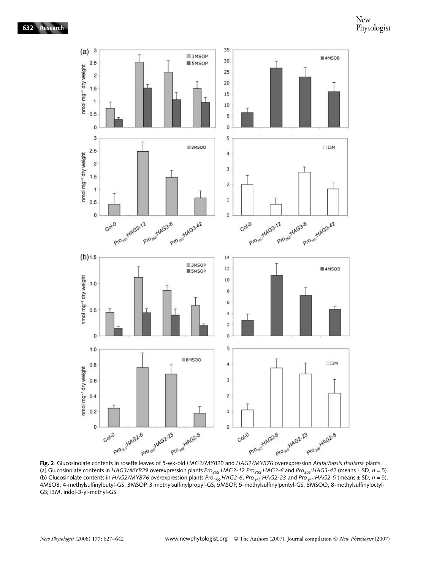

(a) Glucosinolate contents in *HAG3/MYB29* overexpression plants *Pro<sub>35S</sub>*:*HAG3-12 Pro<sub>35S</sub>*:*HAG3-6* and *Pro<sub>35S</sub>*:*HAG3-42* (means ± SD, *n* = 5). (b) Glucosinolate contents in *HAG2/MYB76* overexpression plants *Pro<sub>35S</sub>*:HAG2-6, *Pro<sub>35S</sub>*:HAG2-23 and *Pro<sub>35S</sub>*:HAG2-5 (means  $\pm$  SD, *n* = 5). 4MSOB, 4-methylsulfinylbutyl-GS; 3MSOP, 3-methylsulfinylpropyl-GS; 5MSOP, 5-methylsulfinylpentyl-GS; 8MSOO, 8-methylsulfinyloctyl-GS; I3M, indol-3-yl-methyl-GS.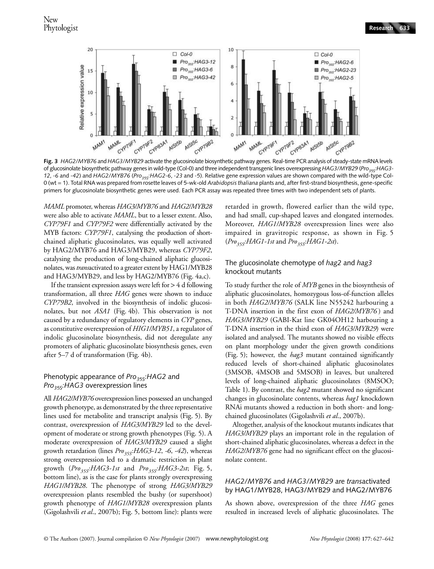

**Fig. 3** *HAG2/MYB76* and *HAG3/MYB29* activate the glucosinolate biosynthetic pathway genes. Real-time PCR analysis of steady-state mRNA levels of glucosinolate biosynthetic pathway genes in wild-type (Col-0) and three independent transgenic lines overexpressing *HAG3/MYB29* (*Pro<sub>35S</sub>*: *HAG3*-*12*, -6 and -42) and *HAG2/MYB76* (*Pro<sub>35S</sub>:HAG2-6*, -23 and -5). Relative gene expression values are shown compared with the wild-type Col-0 (wt = 1). Total RNA was prepared from rosette leaves of 5-wk-old *Arabidopsis thaliana* plants and, after first-strand biosynthesis, gene-specific primers for glucosinolate biosynthetic genes were used. Each PCR assay was repeated three times with two independent sets of plants.

*MAML* promoter, whereas *HAG3/MYB76* and *HAG2/MYB28* were also able to activate *MAML*, but to a lesser extent. Also, *CYP79F1* and *CYP79F2* were differentially activated by the MYB factors: *CYP79F1*, catalysing the production of shortchained aliphatic glucosinolates, was equally well activated by HAG2/MYB76 and HAG3/MYB29, whereas *CYP79F2*, catalysing the production of long-chained aliphatic glucosinolates, was *trans*activated to a greater extent by HAG1/MYB28 and HAG3/MYB29, and less by HAG2/MYB76 (Fig. 4a,c).

If the transient expression assays were left for > 4 d following transformation, all three *HAG* genes were shown to induce *CYP79B2*, involved in the biosynthesis of indolic glucosinolates, but not *ASA1* (Fig. 4b). This observation is not caused by a redundancy of regulatory elements in *CYP* genes, as constitutive overexpression of *HIG1/MYB51*, a regulator of indolic glucosinolate biosynthesis, did not deregulate any promoters of aliphatic glucosinolate biosynthesis genes, even after 5–7 d of transformation (Fig. 4b).

## Phenotypic appearance of *Pro<sub>35S</sub>:HAG2* and *Pro<sub>35S</sub>:HAG3* overexpression lines

All *HAG2/MYB76* overexpression lines possessed an unchanged growth phenotype, as demonstrated by the three representative lines used for metabolite and transcript analysis (Fig. 5). By contrast, overexpression of *HAG3/MYB29* led to the development of moderate or strong growth phenotypes (Fig. 5). A moderate overexpression of *HAG3/MYB29* caused a slight growth retardation (lines *Pro*<sub>35S</sub>: HAG3-12, -6, -42), whereas strong overexpression led to a dramatic restriction in plant growth (*Pro35S:HAG3-1st* and *Pro35S:HAG3-2st*; Fig. 5, bottom line), as is the case for plants strongly overexpressing *HAG1/MYB28*. The phenotype of strong *HAG3/MYB29* overexpression plants resembled the bushy (or supershoot) growth phenotype of *HAG1/MYB28* overexpression plants (Gigolashvili *et al*., 2007b); Fig. 5, bottom line): plants were

retarded in growth, flowered earlier than the wild type, and had small, cup-shaped leaves and elongated internodes. Moreover, *HAG1/MYB28* overexpression lines were also impaired in gravitropic response, as shown in Fig. 5 (*Pro35S:HAG1-1st* and *Pro35S:HAG1-2st*).

#### The glucosinolate chemotype of *hag2* and *hag3* knockout mutants

To study further the role of *MYB* genes in the biosynthesis of aliphatic glucosinolates, homozygous loss-of-function alleles in both *HAG2/MYB76* (SALK line N55242 harbouring a T-DNA insertion in the first exon of *HAG2/MYB76* ) and *HAG3/MYB29* (GABI-Kat line GK04OH12 harbouring a T-DNA insertion in the third exon of *HAG3/MYB29*) were isolated and analysed. The mutants showed no visible effects on plant morphology under the given growth conditions (Fig. 5); however, the *hag3* mutant contained significantly reduced levels of short-chained aliphatic glucosinolates (3MSOB, 4MSOB and 5MSOB) in leaves, but unaltered levels of long-chained aliphatic glucosinolates (8MSOO; Table 1). By contrast, the *hag2* mutant showed no significant changes in glucosinolate contents, whereas *hag1* knockdown RNAi mutants showed a reduction in both short- and longchained glucosinolates (Gigolashvili *et al*., 2007b).

Altogether, analysis of the knockout mutants indicates that *HAG3/MYB29* plays an important role in the regulation of short-chained aliphatic glucosinolates, whereas a defect in the *HAG2/MYB76* gene had no significant effect on the glucosinolate content.

#### *HAG2/MYB76* and *HAG3/MYB29* are *trans*activated by HAG1/MYB28, HAG3/MYB29 and HAG2/MYB76

As shown above, overexpression of the three *HAG* genes resulted in increased levels of aliphatic glucosinolates. The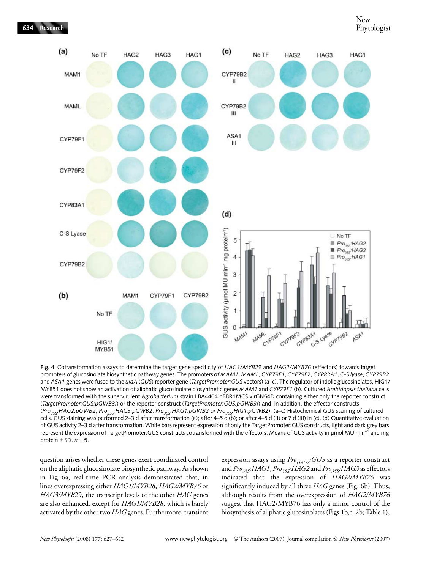

**Fig. 4** Cotransformation assays to determine the target gene specificity of *HAG3/MYB29* and *HAG2/MYB76* (effectors) towards target promoters of glucosinolate biosynthetic pathway genes. The promoters *of MAM1*, *MAML*, *CYP79F1*, *CYP79F2*, *CYP83A1*, C-S *lyase*, *CYP79B2* and *ASA1* genes were fused to the *uidA* (*GUS*) reporter gene (*TargetPromoter:GUS* vectors) (a–c). The regulator of indolic glucosinolates, HIG1/ MYB51 does not show an activation of aliphatic glucosinolate biosynthetic genes *MAM1* and *CYP79F1* (b). Cultured *Arabidopsis thaliana* cells were transformed with the supervirulent *Agrobacterium* strain LBA4404.pBBR1MCS.virGN54D containing either only the reporter construct (*TargetPromoter:GUS:pGWB3i*) or the reporter construct (*TargetPromoter:GUS:pGWB3i*) and, in addition, the effector constructs (*Pro35S:HAG2:pGWB2*, *Pro35S:HAG3:pGWB2*, *Pro35S:HAG1:pGWB2 or Pro35S:HIG1:pGWB2*). (a–c) Histochemical GUS staining of cultured cells. GUS staining was performed 2–3 d after transformation (a); after 4–5 d (b); or after 4–5 d (II) or 7 d (III) in (c). (d) Quantitative evaluation of GUS activity 2–3 d after transformation. White bars represent expression of only the TargetPromoter:GUS constructs, light and dark grey bars represent the expression of TargetPromoter:GUS constructs cotransformed with the effectors. Means of GUS activity in µmol MU min<sup>-1</sup> and mg protein  $\pm$  SD,  $n = 5$ .

question arises whether these genes exert coordinated control on the aliphatic glucosinolate biosynthetic pathway. As shown in Fig. 6a, real-time PCR analysis demonstrated that, in lines overexpressing either *HAG1/MYB28*, *HAG2/MYB76* or *HAG3/MYB*29, the transcript levels of the other *HAG* genes are also enhanced, except for *HAG1/MYB28*, which is barely activated by the other two *HAG* genes. Furthermore, transient expression assays using *Pro<sub>HAG2</sub>:GUS* as a reporter construct and *Pro<sub>35S</sub>*: HAG1, Pro<sub>35S</sub>: HAG2 and Pro<sub>35S</sub>: HAG3 as effectors indicated that the expression of *HAG2/MYB76* was significantly induced by all three *HAG* genes (Fig. 6b). Thus, although results from the overexpression of *HAG2/MYB76* suggest that HAG2/MYB76 has only a minor control of the biosynthesis of aliphatic glucosinolates (Figs 1b,c, 2b; Table 1),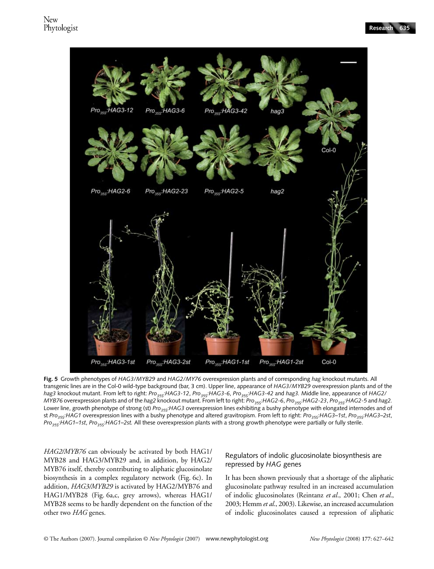

**Fig. 5** Growth phenotypes of *HAG3/MYB29* and *HAG2/MY76* overexpression plants and of corresponding *hag* knockout mutants. All transgenic lines are in the Col-0 wild-type background (bar, 3 cm). Upper line, appearance of *HAG3/MYB29* overexpression plants and of the *hag3* knockout mutant. From left to right: *Pro35S:HAG3-12*, *Pro35S:HAG3-6*, *Pro35S:HAG3-42* and *hag3.* Middle line, appearance of *HAG2/ MYB76* overexpression plants and of the *hag2* knockout mutant. From left to right: *Pro<sub>35S</sub>: HAG2-6*, *Pro<sub>35S</sub>: HAG2-23*, *Pro<sub>35S</sub>: HAG2-5* and *hag2.* Lower line, growth phenotype of strong (st) *Pro<sub>35S</sub>:HAG3* overexpression lines exhibiting a bushy phenotype with elongated internodes and of st *Pro35S:HAG1* overexpression lines with a bushy phenotype and altered gravitropism. From left to right: *Pro35S:HAG3–1st*, *Pro35S:HAG3–2st*, *Pro35S:HAG1–1st*, *Pro35S:HAG1–2st.* All these overexpression plants with a strong growth phenotype were partially or fully sterile.

*HAG2/MYB76* can obviously be activated by both HAG1/ MYB28 and HAG3/MYB29 and, in addition, by HAG2/ MYB76 itself, thereby contributing to aliphatic glucosinolate biosynthesis in a complex regulatory network (Fig. 6c). In addition, *HAG3/MYB29* is activated by HAG2/MYB76 and HAG1/MYB28 (Fig. 6a,c, grey arrows), whereas HAG1/ MYB28 seems to be hardly dependent on the function of the other two *HAG* genes.

# Regulators of indolic glucosinolate biosynthesis are repressed by *HAG* genes

It has been shown previously that a shortage of the aliphatic glucosinolate pathway resulted in an increased accumulation of indolic glucosinolates (Reintanz *et al*., 2001; Chen *et al*., 2003; Hemm *et al*., 2003). Likewise, an increased accumulation of indolic glucosinolates caused a repression of aliphatic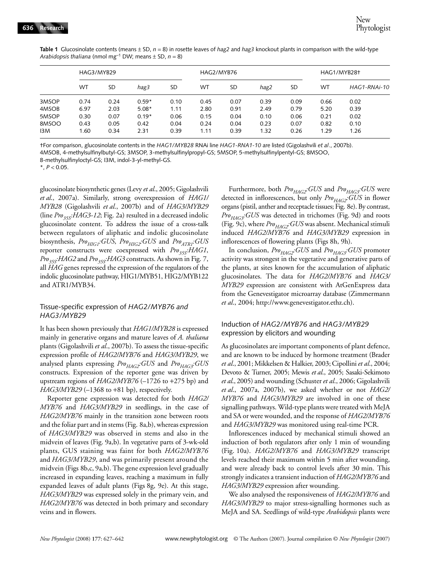| $\frac{1}{2}$ and $\frac{1}{2}$ and $\frac{1}{2}$ and $\frac{1}{2}$ and $\frac{1}{2}$ and $\frac{1}{2}$ and $\frac{1}{2}$ and $\frac{1}{2}$ and $\frac{1}{2}$ and $\frac{1}{2}$ and $\frac{1}{2}$ and $\frac{1}{2}$ and $\frac{1}{2}$ and $\frac{1}{2}$ and $\frac{1}{2}$ and $\frac{1}{2}$ a |            |           |         |           |            |           |      |      |             |              |
|-----------------------------------------------------------------------------------------------------------------------------------------------------------------------------------------------------------------------------------------------------------------------------------------------|------------|-----------|---------|-----------|------------|-----------|------|------|-------------|--------------|
|                                                                                                                                                                                                                                                                                               | HAG3/MYB29 |           |         |           | HAG2/MYB76 |           |      |      | HAG1/MYB28+ |              |
|                                                                                                                                                                                                                                                                                               | <b>WT</b>  | <b>SD</b> | hag3    | <b>SD</b> | WТ         | <b>SD</b> | hag2 | SD   | WT          | HAG1-RNAi-10 |
| 3MSOP                                                                                                                                                                                                                                                                                         | 0.74       | 0.24      | $0.59*$ | 0.10      | 0.45       | 0.07      | 0.39 | 0.09 | 0.66        | 0.02         |
| 4MSOB                                                                                                                                                                                                                                                                                         | 6.97       | 2.03      | $5.08*$ | 1.11      | 2.80       | 0.91      | 2.49 | 0.79 | 5.20        | 0.39         |
| 5MSOP                                                                                                                                                                                                                                                                                         | 0.30       | 0.07      | $0.19*$ | 0.06      | 0.15       | 0.04      | 0.10 | 0.06 | 0.21        | 0.02         |
| 8MSOO                                                                                                                                                                                                                                                                                         | 0.43       | 0.05      | 0.42    | 0.04      | 0.24       | 0.04      | 0.23 | 0.07 | 0.82        | 0.10         |
| I3M                                                                                                                                                                                                                                                                                           | 1.60       | 0.34      | 2.31    | 0.39      | 1.11       | 0.39      | 1.32 | 0.26 | 1.29        | 1.26         |

**Table 1** Glucosinolate contents (means ± SD, *n* = 8) in rosette leaves of *hag2* and *hag3* knockout plants in comparison with the wild-type *Arabidonsis thaliana* (nmol mg<sup>-1</sup> DW; means  $+$  SD,  $n = 8$ )

†For comparison, glucosinolate contents in the *HAG1/MYB28* RNAi line *HAG1-RNA1-10* are listed (Gigolashvili *et al*., 2007b). 4MSOB, 4-methylsulfinylbutyl-GS; 3MSOP, 3-methylsulfinylpropyl-GS; 5MSOP, 5-methylsulfinylpentyl-GS; 8MSOO,

8-methylsulfinyloctyl-GS; I3M, indol-3-yl-methyl-GS.

 $*$ ,  $P < 0.05$ .

glucosinolate biosynthetic genes (Levy *et al*., 2005; Gigolashvili *et al*., 2007a). Similarly, strong overexpression of *HAG1/ MYB28* (Gigolashvili *et al*., 2007b) and of *HAG3/MYB29* (line  $Pro_{355}HAG3-12$ ; Fig. 2a) resulted in a decreased indolic glucosinolate content. To address the issue of a cross-talk between regulators of aliphatic and indolic glucosinolate biosynthesis, *Pro<sub>HIG1</sub>*:GUS, *Pro<sub>HIG2</sub>*:GUS and *Pro<sub>ATR1</sub>*:GUS reporter constructs were coexpressed with *Pro<sub>35S</sub>*:*HAG1*, *Pro35S:HAG2* and *Pro35S:HAG3* constructs. As shown in Fig. 7, all *HAG* genes repressed the expression of the regulators of the indolic glucosinolate pathway, HIG1/MYB51, HIG2/MYB122 and ATR1/MYB34.

#### Tissue-specific expression of *HAG2/MYB76 and HAG3/MYB29*

It has been shown previously that *HAG1/MYB28* is expressed mainly in generative organs and mature leaves of *A. thaliana* plants (Gigolashvili *et al*., 2007b). To assess the tissue-specific expression profile of *HAG2/MYB76* and *HAG3/MYB29*, we analysed plants expressing  $Pro_{HAG2}:GUS$  and  $Pro_{HAG3}:GUS$ constructs. Expression of the reporter gene was driven by upstream regions of *HAG2/MYB76* (–1726 to +275 bp) and *HAG3/MYB29* (–1368 to +81 bp), respectively.

Reporter gene expression was detected for both *HAG2/ MYB76* and *HAG3/MYB29* in seedlings, in the case of *HAG2/MYB76* mainly in the transition zone between roots and the foliar part and in stems (Fig. 8a,b), whereas expression of *HAG3/MYB29* was observed in stems and also in the midvein of leaves (Fig. 9a,b). In vegetative parts of 3-wk-old plants, GUS staining was faint for both *HAG2/MYB76* and *HAG3/MYB29*, and was primarily present around the midvein (Figs 8b,c, 9a,b). The gene expression level gradually increased in expanding leaves, reaching a maximum in fully expanded leaves of adult plants (Figs 8g, 9e). At this stage, *HAG3/MYB29* was expressed solely in the primary vein, and *HAG2/MYB76* was detected in both primary and secondary veins and in flowers.

Furthermore, both  $Pro_{HAG2}:GUS$  and  $Pro_{HAG3}:GUS$  were detected in inflorescences, but only *Pro<sub>HAG2</sub>:GUS* in flower organs (pistil, anther and receptacle tissues; Fig. 8e). By contrast, Pro<sub>HAG3</sub>: GUS was detected in trichomes (Fig. 9d) and roots (Fig. 9c), where *Pro<sub>HAG2</sub>:GUS* was absent. Mechanical stimuli induced *HAG2/MYB76* and *HAG3/MYB29* expression in inflorescences of flowering plants (Figs 8h, 9h).

In conclusion,  $Pro_{HAG2}$ :GUS and  $Pro_{HAG3}$ :GUS promoter activity was strongest in the vegetative and generative parts of the plants, at sites known for the accumulation of aliphatic glucosinolates. The data for *HAG2/MYB76* and *HAG3/ MYB29* expression are consistent with AtGenExpress data from the Genevestigator microarray database (Zimmermann *et al*., 2004; [http://www.genevestigator.ethz.ch\).](http://www.genevestigator.ethz.ch)

## Induction of *HAG2/MYB76* and *HAG3/MYB29* expression by elicitors and wounding

As glucosinolates are important components of plant defence, and are known to be induced by hormone treatment (Brader *et al*., 2001; Mikkelsen & Halkier, 2003; Cipollini *et al*., 2004; Devoto & Turner, 2005; Mewis *et al*., 2005; Sasaki-Sekimoto *et al*., 2005) and wounding (Schuster *et al*., 2006; Gigolashvili *et al*., 2007a, 2007b), we asked whether or not *HAG2/ MYB76* and *HAG3/MYB29* are involved in one of these signalling pathways. Wild-type plants were treated with MeJA and SA or were wounded, and the response of *HAG2/MYB76* and *HAG3/MYB29* was monitored using real-time PCR.

Inflorescences induced by mechanical stimuli showed an induction of both regulators after only 1 min of wounding (Fig. 10a). *HAG2/MYB76* and *HAG3/MYB29* transcript levels reached their maximum within 5 min after wounding, and were already back to control levels after 30 min. This strongly indicates a transient induction of *HAG2/MYB76* and *HAG3/MYB29* expression after wounding.

We also analysed the responsiveness of *HAG2/MYB76* and *HAG3/MYB29* to major stress-signalling hormones such as MeJA and SA. Seedlings of wild-type *Arabidopsis* plants were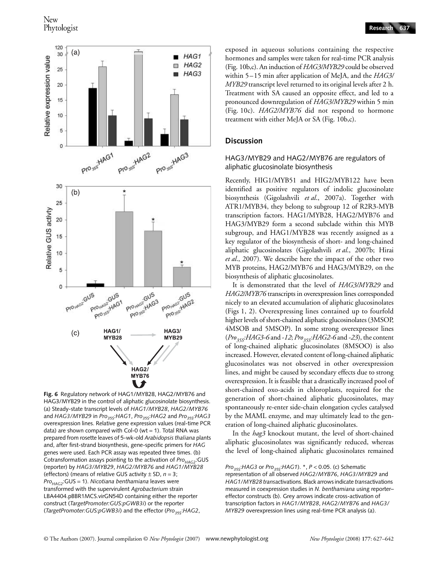

**Fig. 6** Regulatory network of HAG1/MYB28, HAG2/MYB76 and HAG3/MYB29 in the control of aliphatic glucosinolate biosynthesis. (a) Steady-state transcript levels of *HAG1/MYB28*, *HAG2/MYB76* and *HAG3/MYB29* in *Pro<sub>35S</sub>:HAG1*, *Pro<sub>35S</sub>:HAG2* and *Pro<sub>35S</sub>:HAG3* overexpression lines. Relative gene expression values (real-time PCR data) are shown compared with Col-0 (wt = 1). Total RNA was prepared from rosette leaves of 5-wk-old *Arabidopsis thaliana* plants and, after first-strand biosynthesis, gene-specific primers for *HAG* genes were used. Each PCR assay was repeated three times. (b) Cotransformation assays pointing to the activation of *Pro<sub>HAG2</sub>*:GUS (reporter) by *HAG3/MYB29*, *HAG2/MYB76* and *HAG1/MYB28* (effectors) (means of relative GUS activity ± SD, *n* = 3; *ProHAG2*:GUS = 1). *Nicotiana benthamiana* leaves were transformed with the supervirulent *Agrobacterium* strain LBA4404.pBBR1MCS.virGN54D containing either the reporter construct (*TargetPromoter:GUS:pGWB3i*) or the reporter (*TargetPromoter:GUS:pGWB3i*) and the effector (*Pro<sub>35S</sub>:HAG2*,

exposed in aqueous solutions containing the respective hormones and samples were taken for real-time PCR analysis (Fig. 10b,c). An induction of *HAG3/MYB29* could be observed within 5–15 min after application of MeJA, and the *HAG3/ MYB29* transcript level returned to its original levels after 2 h. Treatment with SA caused an opposite effect, and led to a pronounced downregulation of *HAG3/MYB29* within 5 min

#### **Discussion**

#### HAG3/MYB29 and HAG2/MYB76 are regulators of aliphatic glucosinolate biosynthesis

(Fig. 10c). *HAG2/MYB76* did not respond to hormone

treatment with either MeJA or SA (Fig. 10b,c).

Recently, HIG1/MYB51 and HIG2/MYB122 have been identified as positive regulators of indolic glucosinolate biosynthesis (Gigolashvili *et al*., 2007a). Together with ATR1/MYB34, they belong to subgroup 12 of R2R3-MYB transcription factors. HAG1/MYB28, HAG2/MYB76 and HAG3/MYB29 form a second subclade within this MYB subgroup, and HAG1/MYB28 was recently assigned as a key regulator of the biosynthesis of short- and long-chained aliphatic glucosinolates (Gigolashvili *et al*., 2007b; Hirai *et al*., 2007). We describe here the impact of the other two MYB proteins, HAG2/MYB76 and HAG3/MYB29, on the biosynthesis of aliphatic glucosinolates.

It is demonstrated that the level of *HAG3/MYB29* and *HAG2/MYB76* transcripts in overexpression lines corresponded nicely to an elevated accumulation of aliphatic glucosinolates (Figs 1, 2). Overexpressing lines contained up to fourfold higher levels of short-chained aliphatic glucosinolates (3MSOP, 4MSOB and 5MSOP). In some strong overexpressor lines (*Pro35S:HAG3-6* and -*12*; *Pro35S:HAG2-6* and -*23*), the content of long-chained aliphatic glucosinolates (8MSOO) is also increased. However, elevated content of long-chained aliphatic glucosinolates was not observed in other overexpression lines, and might be caused by secondary effects due to strong overexpression. It is feasible that a drastically increased pool of short-chained oxo-acids in chloroplasts, required for the generation of short-chained aliphatic glucosinolates, may spontaneously re-enter side-chain elongation cycles catalysed by the MAML enzyme, and may ultimately lead to the generation of long-chained aliphatic glucosinolates.

In the *hag3* knockout mutant, the level of short-chained aliphatic glucosinolates was significantly reduced, whereas the level of long-chained aliphatic glucosinolates remained

*Pro35S*:*HAG3* or *Pro35S*:*HAG1*). \*, *P* < 0.05. (c) Schematic representation of all observed *HAG2/MYB76*, *HAG3/MYB29* and *HAG1/MYB28 trans*activations. Black arrows indicate *trans*activations measured in coexpression studies in *N. benthamiana* using reporter– effector constructs (b). Grey arrows indicate cross-activation of transcription factors in *HAG1/MYB28*, *HAG2/MYB76* and *HAG3/ MYB29* overexpression lines using real-time PCR analysis (a).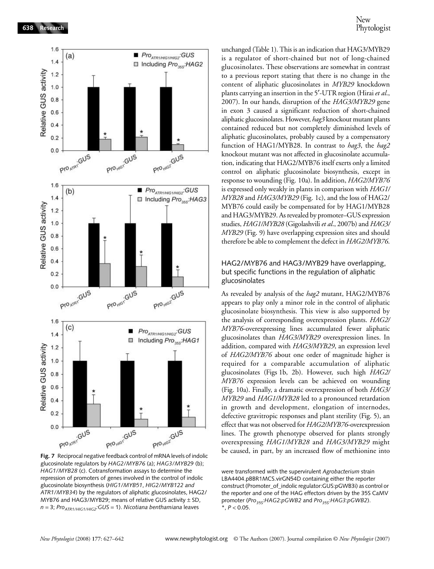

glucosinolate regulators by *HAG2/MYB76* (a); *HAG3/MYB29* (b); *HAG1/MYB28* (c). Cotransformation assays to determine the repression of promoters of genes involved in the control of indolic glucosinolate biosynthesis (*HIG1/MYB51*, *HIG2/MYB122 and ATR1/MYB34*) by the regulators of aliphatic glucosinolates, HAG2/ MYB76 and HAG3/MYB29; means of relative GUS activity  $\pm$  SD, *n* = 3; *Pro<sub>ATR1/HIG1/HIG2*: *GUS* = 1). *Nicotiana benthamiana* leaves</sub>

unchanged (Table 1). This is an indication that HAG3/MYB29 is a regulator of short-chained but not of long-chained glucosinolates. These observations are somewhat in contrast to a previous report stating that there is no change in the content of aliphatic glucosinolates in *MYB29* knockdown plants carrying an insertion in the 5′-UTR region (Hirai *et al*., 2007). In our hands, disruption of the *HAG3/MYB29* gene in exon 3 caused a significant reduction of short-chained aliphatic glucosinolates. However, *hag3* knockout mutant plants contained reduced but not completely diminished levels of aliphatic glucosinolates, probably caused by a compensatory function of HAG1/MYB28. In contrast to *hag3*, the *hag2* knockout mutant was not affected in glucosinolate accumulation, indicating that HAG2/MYB76 itself exerts only a limited control on aliphatic glucosinolate biosynthesis, except in response to wounding (Fig. 10a). In addition, *HAG2/MYB76* is expressed only weakly in plants in comparison with *HAG1/ MYB28* and *HAG3/MYB29* (Fig. 1c), and the loss of HAG2/ MYB76 could easily be compensated for by HAG1/MYB28 and HAG3/MYB29. As revealed by promoter–GUS expression studies, *HAG1/MYB28* (Gigolashvili *et al*., 2007b) and *HAG3/ MYB29* (Fig. 9) have overlapping expression sites and should therefore be able to complement the defect in *HAG2/MYB76*.

## HAG2/MYB76 and HAG3/MYB29 have overlapping, but specific functions in the regulation of aliphatic glucosinolates

As revealed by analysis of the *hag2* mutant, HAG2/MYB76 appears to play only a minor role in the control of aliphatic glucosinolate biosynthesis. This view is also supported by the analysis of corresponding overexpression plants. *HAG2/ MYB76*-overexpressing lines accumulated fewer aliphatic glucosinolates than *HAG3/MYB29* overexpression lines. In addition, compared with *HAG3/MYB29*, an expression level of *HAG2/MYB76* about one order of magnitude higher is required for a comparable accumulation of aliphatic glucosinolates (Figs 1b, 2b). However, such high *HAG2/ MYB76* expression levels can be achieved on wounding (Fig. 10a). Finally, a dramatic overexpression of both *HAG3/ MYB29* and *HAG1/MYB28* led to a pronounced retardation in growth and development, elongation of internodes, defective gravitropic responses and plant sterility (Fig. 5), an effect that was not observed for *HAG2/MYB76*-overexpression lines. The growth phenotype observed for plants strongly overexpressing *HAG1/MYB28* and *HAG3/MYB29* might be caused, in part, by an increased flow of methionine into

were transformed with the supervirulent *Agrobacterium* strain LBA4404.pBBR1MCS.virGN54D containing either the reporter construct (Promoter\_of\_indolic regulator:GUS:pGWB3i) as control or the reporter and one of the HAG effectors driven by the 35S CaMV promoter (*Pro<sub>35S</sub>*: HAG2:pGWB2 and *Pro<sub>35S</sub>*: HAG3:pGWB2).  $*$ ,  $P < 0.05$ .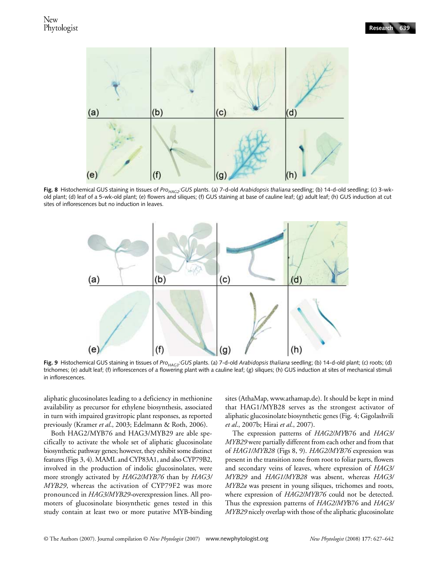

Fig. 8 Histochemical GUS staining in tissues of *Pro<sub>HAG2</sub>*:GUS plants. (a) 7-d-old *Arabidopsis thaliana* seedling; (b) 14-d-old seedling; (c) 3-wkold plant; (d) leaf of a 5-wk-old plant; (e) flowers and siliques; (f) GUS staining at base of cauline leaf; (g) adult leaf; (h) GUS induction at cut sites of inflorescences but no induction in leaves.



Fig. 9 Histochemical GUS staining in tissues of *Pro<sub>HAG3</sub>*:GUS plants. (a) 7-d-old *Arabidopsis thaliana* seedling; (b) 14-d-old plant; (c) roots; (d) trichomes; (e) adult leaf; (f) inflorescences of a flowering plant with a cauline leaf; (g) siliques; (h) GUS induction at sites of mechanical stimuli in inflorescences.

aliphatic glucosinolates leading to a deficiency in methionine availability as precursor for ethylene biosynthesis, associated in turn with impaired gravitropic plant responses, as reported previously (Kramer *et al*., 2003; Edelmann & Roth, 2006).

Both HAG2/MYB76 and HAG3/MYB29 are able specifically to activate the whole set of aliphatic glucosinolate biosynthetic pathway genes; however, they exhibit some distinct features (Figs 3, 4). MAML and CYP83A1, and also CYP79B2, involved in the production of indolic glucosinolates, were more strongly activated by *HAG2/MYB76* than by *HAG3/ MYB29*, whereas the activation of CYP79F2 was more pronounced in *HAG3/MYB29*-overexpression lines. All promoters of glucosinolate biosynthetic genes tested in this study contain at least two or more putative MYB-binding sites (AthaMap, www.athamap.de). It should be kept in mind that HAG1/MYB28 serves as the strongest activator of aliphatic glucosinolate biosynthetic genes (Fig. 4; Gigolashvili *et al*., 2007b; Hirai *et al*., 2007).

The expression patterns of *HAG2/MY*B76 and *HAG3/ MYB29* were partially different from each other and from that of *HAG1/MYB28* (Figs 8, 9). *HAG2/MYB76* expression was present in the transition zone from root to foliar parts, flowers and secondary veins of leaves, where expression of *HAG3/ MYB29* and *HAG1/MYB28* was absent, whereas *HAG3/ MYB2a* was present in young siliques, trichomes and roots, where expression of *HAG2/MYB76* could not be detected. Thus the expression patterns of *HAG2/MY*B76 and *HAG3/ MYB29* nicely overlap with those of the aliphatic glucosinolate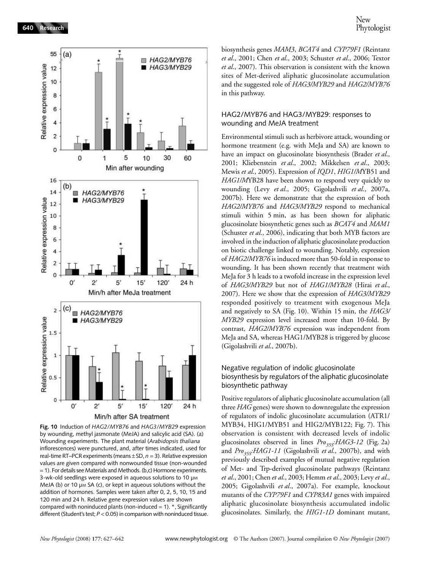

**Fig. 10** Induction of *HAG2/MYB76* and *HAG3/MYB29* expression by wounding, methyl jasmonate (MeJA) and salicylic acid (SA). (a) Wounding experiments. The plant material (*Arabidopsis thaliana* inflorescences) were punctured, and, after times indicated, used for real-time RT–PCR experiments (means ± SD, *n* = 3). Relative expression values are given compared with nonwounded tissue (non-wounded = 1). For details see Materials and Methods. (b,c) Hormone experiments. 3-wk-old seedlings were exposed in aqueous solutions to 10  $\mu$ M MeJA (b) or 10 µm SA (c), or kept in aqueous solutions without the addition of hormones. Samples were taken after 0, 2, 5, 10, 15 and 120 min and 24 h. Relative gene expression values are shown compared with noninduced plants (non-induced = 1).  $*$ , Significantly different (Student's test;  $P < 0.05$ ) in comparison with noninduced tissue.

biosynthesis genes *MAM3*, *BCAT4* and *CYP79F1* (Reintanz *et al*., 2001; Chen *et al*., 2003; Schuster *et al*., 2006; Textor *et al*., 2007). This observation is consistent with the known sites of Met-derived aliphatic glucosinolate accumulation and the suggested role of *HAG3/MYB29* and *HAG2/MYB76* in this pathway.

#### HAG2/MYB76 and HAG3/MYB29: responses to wounding and MeJA treatment

Environmental stimuli such as herbivore attack, wounding or hormone treatment (e.g. with MeJa and SA) are known to have an impact on glucosinolate biosynthesis (Brader *et al*., 2001; Kliebenstein *et al*., 2002; Mikkelsen *et al*., 2003; Mewis *et al*., 2005). Expression of *IQD1*, *HIG1/M*YB51 and *HAG1/M*YB28 have been shown to respond very quickly to wounding (Levy *et al*., 2005; Gigolashvili *et al*., 2007a, 2007b). Here we demonstrate that the expression of both *HAG2/MYB76* and *HAG3/MYB29* respond to mechanical stimuli within 5 min, as has been shown for aliphatic glucosinolate biosynthetic genes such as *BCAT4* and *MAM1* (Schuster *et al*., 2006), indicating that both MYB factors are involved in the induction of aliphatic glucosinolate production on biotic challenge linked to wounding. Notably, expression of *HAG2/MYB76* is induced more than 50-fold in response to wounding. It has been shown recently that treatment with MeJa for 3 h leads to a twofold increase in the expression level of *HAG3/MYB29* but not of *HAG1/MYB28* (Hirai *et al*., 2007). Here we show that the expression of *HAG3/MYB29* responded positively to treatment with exogenous MeJa and negatively to SA (Fig. 10). Within 15 min, the *HAG3/ MYB29* expression level increased more than 10-fold. By contrast, *HAG2/MYB76* expression was independent from MeJa and SA, whereas HAG1/MYB28 is triggered by glucose (Gigolashvili *et al*., 2007b).

## Negative regulation of indolic glucosinolate biosynthesis by regulators of the aliphatic glucosinolate biosynthetic pathway

Positive regulators of aliphatic glucosinolate accumulation (all three *HAG* genes) were shown to downregulate the expression of regulators of indolic glucosinolate accumulation (ATR1/ MYB34, HIG1/MYB51 and HIG2/MYB122; Fig. 7). This observation is consistent with decreased levels of indolic glucosinolates observed in lines *Pro<sub>35S</sub>:HAG3-12* (Fig. 2a) and *Pro<sub>35S</sub>:HAG1-11* (Gigolashvili *et al.*, 2007b), and with previously described examples of mutual negative regulation of Met- and Trp-derived glucosinolate pathways (Reintanz *et al*., 2001; Chen *et al*., 2003; Hemm *et al*., 2003; Levy *et al*., 2005; Gigolashvili *et al*., 2007a). For example, knockout mutants of the *CYP79F1* and *CYP83A1* genes with impaired aliphatic glucosinolate biosynthesis accumulated indolic glucosinolates. Similarly, the *HIG1-1D* dominant mutant,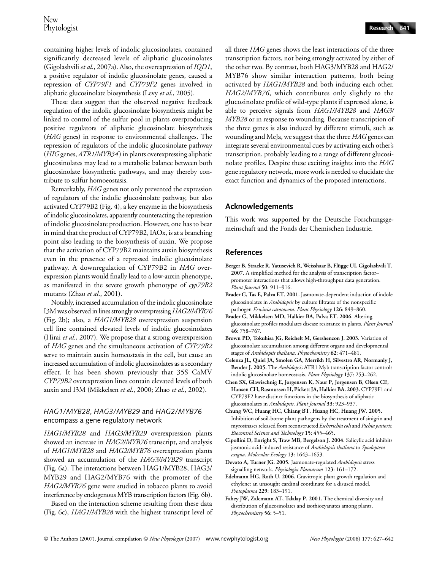containing higher levels of indolic glucosinolates, contained significantly decreased levels of aliphatic glucosinolates (Gigolashvili *et al*., 2007a). Also, the overexpression of *IQD1*, a positive regulator of indolic glucosinolate genes, caused a repression of *CYP79F1* and *CYP79F2* genes involved in aliphatic glucosinolate biosynthesis (Levy *et al*., 2005).

These data suggest that the observed negative feedback regulation of the indolic glucosinolate biosynthesis might be linked to control of the sulfur pool in plants overproducing positive regulators of aliphatic glucosinolate biosynthesis (*HAG* genes) in response to environmental challenges. The repression of regulators of the indolic glucosinolate pathway (*HIG* genes, *ATR1/MYB34*) in plants overexpressing aliphatic glucosinolates may lead to a metabolic balance between both glucosinolate biosynthetic pathways, and may thereby contribute to sulfur homoeostasis.

Remarkably, *HAG* genes not only prevented the expression of regulators of the indolic glucosinolate pathway, but also activated CYP79B2 (Fig. 4), a key enzyme in the biosynthesis of indolic glucosinolates, apparently counteracting the repression of indolic glucosinolate production. However, one has to bear in mind that the product of CYP79B2, IAOx, is at a branching point also leading to the biosynthesis of auxin. We propose that the activation of CYP79B2 maintains auxin biosynthesis even in the presence of a repressed indolic glucosinolate pathway. A downregulation of CYP79B2 in *HAG* overexpression plants would finally lead to a low-auxin phenotype, as manifested in the severe growth phenotype of *cyp79B2* mutants (Zhao *et al*., 2001).

Notably, increased accumulation of the indolic glucosinolate I3M was observed in lines strongly overexpressing *HAG2/MYB76* (Fig. 2b); also, a *HAG1/MYB28* overexpression suspension cell line contained elevated levels of indolic glucosinolates (Hirai *et al*., 2007). We propose that a strong overexpression of *HAG* genes and the simultaneous activation of *CYP79B2* serve to maintain auxin homeostasis in the cell, but cause an increased accumulation of indolic glucosinolates as a secondary effect. It has been shown previously that 35S CaMV *CYP79B2* overexpression lines contain elevated levels of both auxin and I3M (Mikkelsen *et al*., 2000; Zhao *et al*., 2002).

#### *HAG1/MYB28*, *HAG3/MYB29* and *HAG2/MYB76* encompass a gene regulatory network

*HAG1/MYB28* and *HAG3/MYB29* overexpression plants showed an increase in *HAG2/MYB76* transcript, and analysis of *HAG1/MYB28* and *HAG2/MYB76* overexpression plants showed an accumulation of the *HAG3/MYB29* transcript (Fig. 6a). The interactions between HAG1/MYB28, HAG3/ MYB29 and HAG2/MYB76 with the promoter of the *HAG2/MYB76* gene were studied in tobacco plants to avoid interference by endogenous MYB transcription factors (Fig. 6b).

Based on the interaction scheme resulting from these data (Fig. 6c), *HAG1/MYB28* with the highest transcript level of

all three *HAG* genes shows the least interactions of the three transcription factors, not being strongly activated by either of the other two. By contrast, both HAG3/MYB28 and HAG2/ MYB76 show similar interaction patterns, both being activated by *HAG1/MYB28* and both inducing each other. *HAG2/MYB76*, which contributes only slightly to the glucosinolate profile of wild-type plants if expressed alone, is able to perceive signals from *HAG1/MYB28* and *HAG3/ MYB28* or in response to wounding. Because transcription of the three genes is also induced by different stimuli, such as wounding and MeJa, we suggest that the three *HAG* genes can integrate several environmental cues by activating each other's transcription, probably leading to a range of different glucosinolate profiles. Despite these exciting insights into the *HAG* gene regulatory network, more work is needed to elucidate the exact function and dynamics of the proposed interactions.

# **Acknowledgements**

This work was supported by the Deutsche Forschungsgemeinschaft and the Fonds der Chemischen Industrie.

## **References**

- **Berger B, Stracke R, Yatusevich R, Weisshaar B, Flügge UI, Gigolashvili T. 2007.** A simplified method for the analysis of transcription factor– promoter interactions that allows high-throughput data generation. *Plant Journal* **50**: 911–916.
- **Brader G, Tas E, Palva ET. 2001.** Jasmonate-dependent induction of indole glucosinolates in *Arabidopsis* by culture filtrates of the nonspecific pathogen *Erwinia carotovora*. *Plant Physiology* **126**: 849–860.
- **Brader G, Mikkelsen MD, Halkier BA, Palva ET. 2006.** Altering glucosinolate profiles modulates disease resistance in plants. *Plant Journal* **46**: 758–767.
- **Brown PD, Tokuhisa JG, Reichelt M, Gershenzon J. 2003.** Variation of glucosinolate accumulation among different organs and developmental stages of *Arabidopsis thaliana*. *Phytochemistry* **62**: 471–481.
- **Celenza JL, Quiel JA, Smolen GA, Merrikh H, Silvestro AR, Normanly J, Bender J. 2005.** The *Arabidopsis* ATR1 Myb transcription factor controls indolic glucosinolate homeostasis. *Plant Physiology* **137**: 253–262.
- **Chen SX, Glawischnig E, Jorgensen K, Naur P, Jorgensen B, Olsen CE, Hansen CH, Rasmussen H, Pickett JA, Halkier BA. 2003.** CYP79F1 and CYP79F2 have distinct functions in the biosynthesis of aliphatic glucosinolates in *Arabidopsis*. *Plant Journal* **33**: 923–937.
- **Chung WC, Huang HC, Chiang BT, Huang HC, Huang JW. 2005.**  Inhibition of soil-borne plant pathogens by the treatment of sinigrin and myrosinases released from reconstructed *Escherichia coli* and *Pichia pastoris. Biocontrol Science and Technology* **15**: 455–465.
- **Cipollini D, Enright S, Traw MB, Bergelson J. 2004.** Salicylic acid inhibits jasmonic acid-induced resistance of *Arabidopsis thaliana* to *Spodoptera exigua*. *Molecular Ecology* **13**: 1643–1653.
- **Devoto A, Turner JG. 2005.** Jasmonate-regulated *Arabidopsis* stress signalling network. *Physiologia Plantarum* **123**: 161–172.
- **Edelmann HG, Roth U. 2006.** Gravitropic plant growth regulation and ethylene: an unsought cardinal coordinate for a disused model. *Protoplasma* **229**: 183–191.
- Fahey JW, Zalcmann AT, Talalay P. 2001. The chemical diversity and distribution of glucosinolates and isothiocyanates among plants. *Phytochemistry* **56**: 5–51.